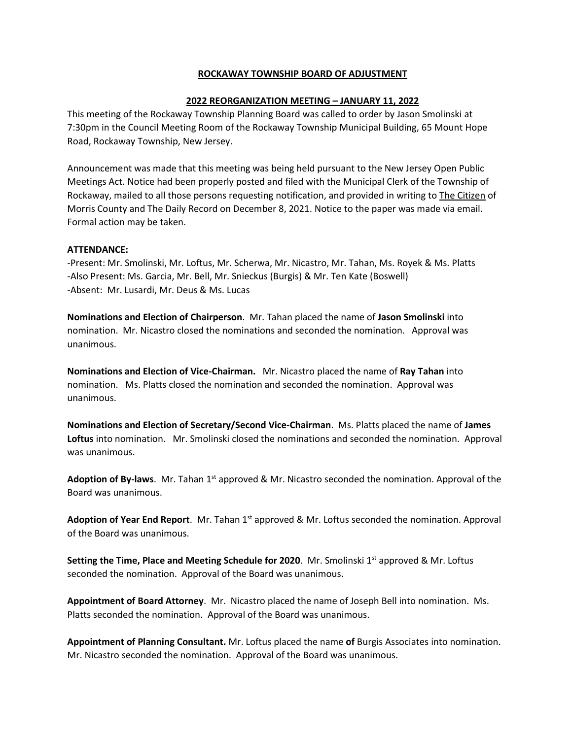## **ROCKAWAY TOWNSHIP BOARD OF ADJUSTMENT**

## **2022 REORGANIZATION MEETING – JANUARY 11, 2022**

This meeting of the Rockaway Township Planning Board was called to order by Jason Smolinski at 7:30pm in the Council Meeting Room of the Rockaway Township Municipal Building, 65 Mount Hope Road, Rockaway Township, New Jersey.

Announcement was made that this meeting was being held pursuant to the New Jersey Open Public Meetings Act. Notice had been properly posted and filed with the Municipal Clerk of the Township of Rockaway, mailed to all those persons requesting notification, and provided in writing to The Citizen of Morris County and The Daily Record on December 8, 2021. Notice to the paper was made via email. Formal action may be taken.

## **ATTENDANCE:**

-Present: Mr. Smolinski, Mr. Loftus, Mr. Scherwa, Mr. Nicastro, Mr. Tahan, Ms. Royek & Ms. Platts -Also Present: Ms. Garcia, Mr. Bell, Mr. Snieckus (Burgis) & Mr. Ten Kate (Boswell) -Absent: Mr. Lusardi, Mr. Deus & Ms. Lucas

**Nominations and Election of Chairperson**. Mr. Tahan placed the name of **Jason Smolinski** into nomination. Mr. Nicastro closed the nominations and seconded the nomination. Approval was unanimous.

**Nominations and Election of Vice-Chairman.** Mr. Nicastro placed the name of **Ray Tahan** into nomination. Ms. Platts closed the nomination and seconded the nomination. Approval was unanimous.

**Nominations and Election of Secretary/Second Vice-Chairman**. Ms. Platts placed the name of **James Loftus** into nomination. Mr. Smolinski closed the nominations and seconded the nomination. Approval was unanimous.

Adoption of By-laws. Mr. Tahan 1<sup>st</sup> approved & Mr. Nicastro seconded the nomination. Approval of the Board was unanimous.

Adoption of Year End Report. Mr. Tahan 1<sup>st</sup> approved & Mr. Loftus seconded the nomination. Approval of the Board was unanimous.

**Setting the Time, Place and Meeting Schedule for 2020.** Mr. Smolinski 1st approved & Mr. Loftus seconded the nomination. Approval of the Board was unanimous.

**Appointment of Board Attorney**. Mr. Nicastro placed the name of Joseph Bell into nomination. Ms. Platts seconded the nomination. Approval of the Board was unanimous.

**Appointment of Planning Consultant.** Mr. Loftus placed the name **of** Burgis Associates into nomination. Mr. Nicastro seconded the nomination. Approval of the Board was unanimous.